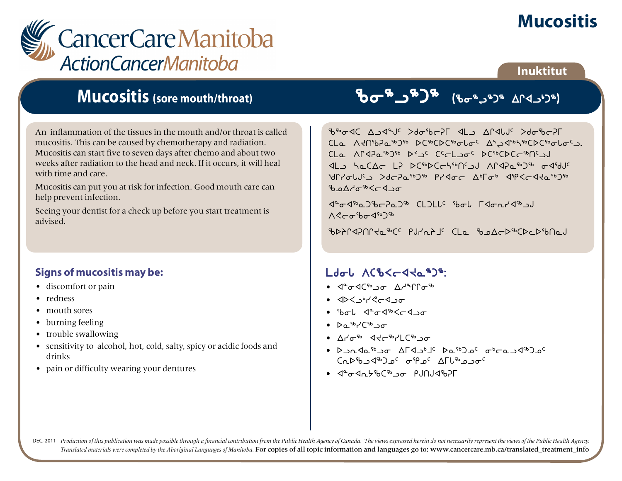# **Mucositis**



### **Inuktitut**

## **Mucositis (sore mouth/throat)**

An inflammation of the tissues in the mouth and/or throat is called mucositis. This can be caused by chemotherapy and radiation. Mucositis can start five to seven days after chemo and about two weeks after radiation to the head and neck. If it occurs, it will heal with time and care.

Mucositis can put you at risk for infection. Good mouth care can help prevent infection.

Seeing your dentist for a check up before you start treatment is advised.

### **Signs of mucositis may be:**

- discomfort or pain
- redness
- mouth sores
- burning feeling
- trouble swallowing
- sensitivity to alcohol, hot, cold, salty, spicy or acidic foods and drinks
- pain or difficulty wearing your dentures

# ci6l6g6 Gci6L6g6 wQxl4g6H

chixan c D January C D January Stor A Denis CLa AKN&Pa%D<sup>6</sup> DC%CDC%oloc AbJ<1%CDC%oloc). bmD CLa AndPa<sup>56</sup> bs<sub>2</sub>c Cecl<sub>20</sub> bc<sup>66</sup>CDCc<sup>56</sup>ng2J al hacar LP DCibDCchibncsJ Arapaib be aidJc addycddi Sychown Pracc Aplob aprocate w mc Days<sup>th</sup> Go

 $\langle 1^{\circ} \sigma \langle 1^{\circ} \sigma \rangle$  and  $\langle 1^{\circ} \sigma \rangle$  and  $\langle 1^{\circ} \sigma \rangle$  is  $\langle 1^{\circ} \sigma \rangle$  and  $\langle 1^{\circ} \sigma \rangle$  $\Lambda$  $C$ cr<sup>s</sup>bo $\Lambda$ <sup>sb</sup>

 $\mathcal{L}$ 

## $L$ do $L$  ACb $\leq$ d $\leq$ a $\geq$ <sup>6</sup>:

- $\bullet$   $\triangleleft^{\alpha}$  $\triangleleft$  $\triangleleft^{\beta_{b}}$   $\circ$   $\sigma$   $\wedge$   $\triangleleft^{\alpha}$  $\cap$  $\cap$  $\curvearrowright^{\beta_{b}}$
- $\bullet$   $\triangle$   $\triangle$   $\triangleright$   $\triangle$   $\triangleright$   $\triangle$   $\triangle$   $\triangleright$   $\triangle$   $\triangle$   $\triangleright$   $\triangle$   $\triangle$   $\triangleright$   $\triangle$   $\triangle$   $\triangleright$   $\triangle$   $\triangle$   $\triangleright$   $\triangle$   $\triangle$   $\triangleright$   $\triangle$   $\triangle$   $\triangleright$   $\triangle$   $\triangle$   $\triangleright$   $\triangle$   $\triangle$   $\triangle$   $\triangleright$   $\triangle$   $\triangle$   $\triangle$   $\triangle$   $\triangle$   $\triangle$
- Pol dedskicker
- $\triangleright$  s<sup>6</sup> $\cdot$ <sup>(56</sup>) $\sigma$
- Arlage StateMatic •
- slExN6li wuxl4j5 sN6gk5 i4oNlx6gk5  $C_0D^{6}b_1d^{6}D_0c_0d^{6}p_0c_1\Lambda\Gamma L^{6}b_0$
- 4°o4n6'bCib<sub>20</sub> PJNJ4'b2L

DEC, 2011 Production of this publication was made possible through a financial contribution from the Public Health Agency of Canada. The views expressed herein do not necessarily represent the views of the Public Health Ag *Translated materials were completed by the Aboriginal Languages of Manitoba.* For copies of all topic information and languages go to: www.cancercare.mb.ca/translated\_treatment\_info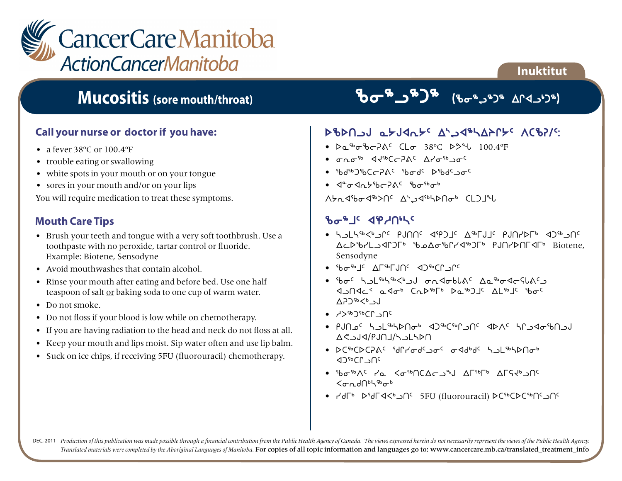

## **Mucositis (sore mouth/throat)**

### **Call your nurse or doctor if you have:**

- a fever 38°C or 100.4°F
- trouble eating or swallowing
- white spots in your mouth or on your tongue
- sores in your mouth and/or on your lips

You will require medication to treat these symptoms.

#### **Mouth Care Tips**

- Brush your teeth and tongue with a very soft toothbrush. Use a toothpaste with no peroxide, tartar control or fluoride. Example: Biotene, Sensodyne
- Avoid mouthwashes that contain alcohol.
- Rinse your mouth after eating and before bed. Use one half teaspoon of salt or baking soda to one cup of warm water.
- Do not smoke.
- Do not floss if your blood is low while on chemotherapy.
- If you are having radiation to the head and neck do not floss at all.
- Keep your mouth and lips moist. Sip water often and use lip balm.
- Suck on ice chips, if receiving 5FU (fluorouracil) chemotherapy.

# Bar actor (Baca Da)

**Inuktitut**

### SPDUP STAUTE V774P/75 VCPS/G

- $D_0$ <sup>5</sup>bo<sup>5</sup>bc $P_0$ <sup>c</sup>  $CL$ or  $38^{\circ}$ C  $D_0^{\circ}$ b<sub>c</sub>  $100.4^{\circ}F$
- iEi6 xJ6boDF5 wyi6li5
- $56\%$  shate  $265$  shatchest spectrum in  $56\%$
- $\cdot$   $\sqrt{a^2 \sigma}$   $\sqrt{a^2 \sigma^2}$   $\sqrt{b^2 \sigma^2}$   $\sqrt{b^2 \sigma^2}$

Whadbod<sup>66</sup>>n< Ahadbhadbado CLDJul

#### **Basic defuite**

- horracetic buying alborations were already ward and the on-the correct process and the correct control and the District Publication Biotene, Sensodyne
- ciptuan vectors when the content of the content of the content of the content of the content of the content of the content of the content of the content of the content of the content of the content of the content of the
- iboc hul<sup>sbhsb</sup><but ondoblac Aasbodeslacu **KLGAC ARA SURFA BESHORE STORES**  $AD^{5b}$   $\lt$   $\lt$   $\lt$   $\lt$   $\lt$   $\lt$
- hS6g6bQlt5
- $\bullet$  PJN  $^{\circ}$ C  $^{\prime}$  is where  $^{\circ}$  and  $^{\circ}$  and  $^{\circ}$  and  $^{\circ}$  and  $^{\circ}$  and  $^{\circ}$  and  $^{\circ}$  and  $^{\circ}$  and  $^{\circ}$  and  $^{\circ}$  and  $^{\circ}$  and  $^{\circ}$  and  $^{\circ}$  and  $^{\circ}$  and  $^{\circ}$  and  $^{\circ}$  and  $^{\circ}$  and  $\Delta$ <br />
- bCipCbCbG iqUrdison orddpda holiphbUap ∢ጋ<sup>ና</sup> ነበ<sup>ር</sup>
- Standard Kathola wurdt wurden wurden wurden wurden wurden wurden wurden wurden wurden wurden wurden wurden wu  $\zeta_{\sigma}$ ndnbhsb $\sigma$ b
- Ydrb bidrach of 5FU (fluorouracil) bcidchor-

DEC, 2011 Production of this publication was made possible through a financial contribution from the Public Health Agency of Canada. The views expressed herein do not necessarily represent the views of the Public Health Ag *Translated materials were completed by the Aboriginal Languages of Manitoba.* For copies of all topic information and languages go to: www.cancercare.mb.ca/translated\_treatment\_info